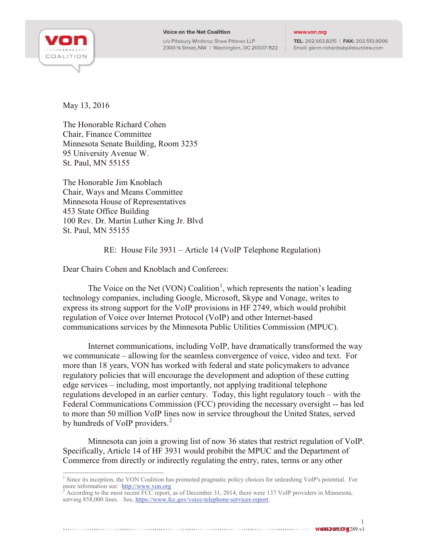

## **Voice on the Net Coalition**

c/o Pillsbury Winthrop Shaw Pittman LLP 2300 N Street, NW | Washington, DC 20037-1122

## www.von.org

TEL: 202.663.8215 | FAX: 202.513.8006 Email: glenn.richards@pillsburylaw.com

May 13, 2016

The Honorable Richard Cohen Chair, Finance Committee Minnesota Senate Building, Room 3235 95 University Avenue W. St. Paul, MN 55155

The Honorable Jim Knoblach Chair, Ways and Means Committee Minnesota House of Representatives 453 State Office Building 100 Rev. Dr. Martin Luther King Jr. Blvd St. Paul, MN 55155

RE: House File 3931 – Article 14 (VoIP Telephone Regulation)

Dear Chairs Cohen and Knoblach and Conferees:

The Voice on the Net (VON) Coalition<sup>[1](#page-0-0)</sup>, which represents the nation's leading technology companies, including Google, Microsoft, Skype and Vonage, writes to express its strong support for the VoIP provisions in HF 2749, which would prohibit regulation of Voice over Internet Protocol (VoIP) and other Internet-based communications services by the Minnesota Public Utilities Commission (MPUC).

Internet communications, including VoIP, have dramatically transformed the way we communicate – allowing for the seamless convergence of voice, video and text. For more than 18 years, VON has worked with federal and state policymakers to advance regulatory policies that will encourage the development and adoption of these cutting edge services – including, most importantly, not applying traditional telephone regulations developed in an earlier century. Today, this light regulatory touch – with the Federal Communications Commission (FCC) providing the necessary oversight -- has led to more than 50 million VoIP lines now in service throughout the United States, served by hundreds of VoIP providers.<sup>[2](#page-0-1)</sup>

Minnesota can join a growing list of now 36 states that restrict regulation of VoIP. Specifically, Article 14 of HF 3931 would prohibit the MPUC and the Department of Commerce from directly or indirectly regulating the entry, rates, terms or any other

4832-8957-8289.v1

1

<span id="page-0-0"></span><sup>&</sup>lt;sup>1</sup> Since its inception, the VON Coalition has promoted pragmatic policy choices for unleashing VoIP's potential. For more information see: http://www.von.org

<span id="page-0-1"></span> $^2$  According to the most recent FCC report, as of December 31, 2014, there were 137 VoIP providers in Minnesota, serving 858,000 lines. See[, https://www.fcc.gov/voice-telephone-services-report.](https://www.fcc.gov/voice-telephone-services-report)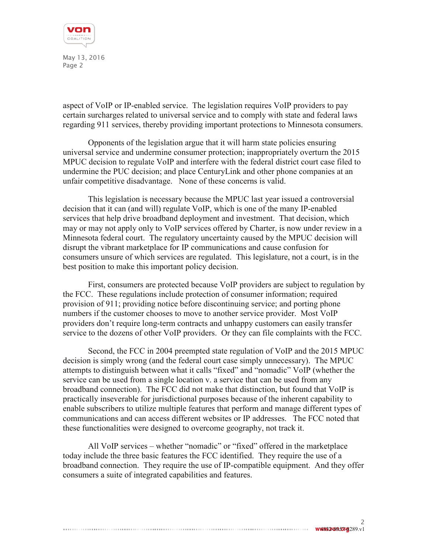

May 13, 2016 Page 2

aspect of VoIP or IP-enabled service. The legislation requires VoIP providers to pay certain surcharges related to universal service and to comply with state and federal laws regarding 911 services, thereby providing important protections to Minnesota consumers.

Opponents of the legislation argue that it will harm state policies ensuring universal service and undermine consumer protection; inappropriately overturn the 2015 MPUC decision to regulate VoIP and interfere with the federal district court case filed to undermine the PUC decision; and place CenturyLink and other phone companies at an unfair competitive disadvantage. None of these concerns is valid.

This legislation is necessary because the MPUC last year issued a controversial decision that it can (and will) regulate VoIP, which is one of the many IP-enabled services that help drive broadband deployment and investment. That decision, which may or may not apply only to VoIP services offered by Charter, is now under review in a Minnesota federal court. The regulatory uncertainty caused by the MPUC decision will disrupt the vibrant marketplace for IP communications and cause confusion for consumers unsure of which services are regulated. This legislature, not a court, is in the best position to make this important policy decision.

First, consumers are protected because VoIP providers are subject to regulation by the FCC. These regulations include protection of consumer information; required provision of 911; providing notice before discontinuing service; and porting phone numbers if the customer chooses to move to another service provider. Most VoIP providers don't require long-term contracts and unhappy customers can easily transfer service to the dozens of other VoIP providers. Or they can file complaints with the FCC.

Second, the FCC in 2004 preempted state regulation of VoIP and the 2015 MPUC decision is simply wrong (and the federal court case simply unnecessary). The MPUC attempts to distinguish between what it calls "fixed" and "nomadic" VoIP (whether the service can be used from a single location v. a service that can be used from any broadband connection). The FCC did not make that distinction, but found that VoIP is practically inseverable for jurisdictional purposes because of the inherent capability to enable subscribers to utilize multiple features that perform and manage different types of communications and can access different websites or IP addresses. The FCC noted that these functionalities were designed to overcome geography, not track it.

All VoIP services – whether "nomadic" or "fixed" offered in the marketplace today include the three basic features the FCC identified. They require the use of a broadband connection. They require the use of IP-compatible equipment. And they offer consumers a suite of integrated capabilities and features.